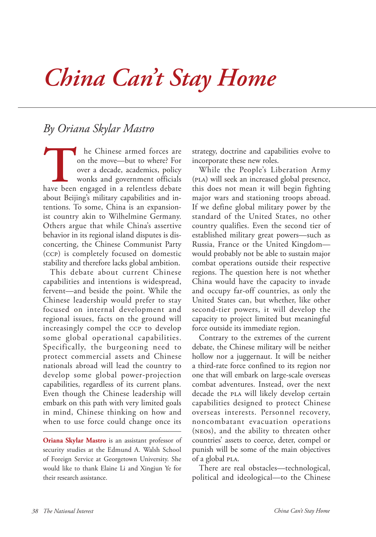## *China Can't Stay Home*

## *By Oriana Skylar Mastro*

The Chinese armed forces are on the move—but to where? For over a decade, academics, policy wonks and government officials have been engaged in a relentless debate on the move—but to where? For over a decade, academics, policy wonks and government officials about Beijing's military capabilities and intentions. To some, China is an expansionist country akin to Wilhelmine Germany. Others argue that while China's assertive behavior in its regional island disputes is disconcerting, the Chinese Communist Party (ccp) is completely focused on domestic stability and therefore lacks global ambition.

This debate about current Chinese capabilities and intentions is widespread, fervent—and beside the point. While the Chinese leadership would prefer to stay focused on internal development and regional issues, facts on the ground will increasingly compel the ccp to develop some global operational capabilities. Specifically, the burgeoning need to protect commercial assets and Chinese nationals abroad will lead the country to develop some global power-projection capabilities, regardless of its current plans. Even though the Chinese leadership will embark on this path with very limited goals in mind, Chinese thinking on how and when to use force could change once its

**Oriana Skylar Mastro** is an assistant professor of security studies at the Edmund A. Walsh School of Foreign Service at Georgetown University. She would like to thank Elaine Li and Xingjun Ye for their research assistance.

strategy, doctrine and capabilities evolve to incorporate these new roles.

While the People's Liberation Army (pla) will seek an increased global presence, this does not mean it will begin fighting major wars and stationing troops abroad. If we define global military power by the standard of the United States, no other country qualifies. Even the second tier of established military great powers—such as Russia, France or the United Kingdom would probably not be able to sustain major combat operations outside their respective regions. The question here is not whether China would have the capacity to invade and occupy far-off countries, as only the United States can, but whether, like other second-tier powers, it will develop the capacity to project limited but meaningful force outside its immediate region.

Contrary to the extremes of the current debate, the Chinese military will be neither hollow nor a juggernaut. It will be neither a third-rate force confined to its region nor one that will embark on large-scale overseas combat adventures. Instead, over the next decade the PLA will likely develop certain capabilities designed to protect Chinese overseas interests. Personnel recovery, noncombatant evacuation operations (neos), and the ability to threaten other countries' assets to coerce, deter, compel or punish will be some of the main objectives of a global pla.

There are real obstacles—technological, political and ideological—to the Chinese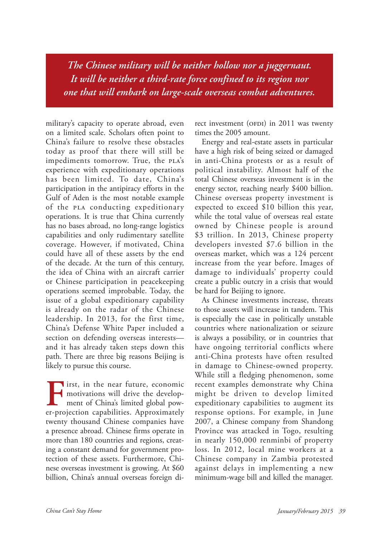*The Chinese military will be neither hollow nor a juggernaut. It will be neither a third-rate force confined to its region nor one that will embark on large-scale overseas combat adventures.*

military's capacity to operate abroad, even on a limited scale. Scholars often point to China's failure to resolve these obstacles today as proof that there will still be impediments tomorrow. True, the PLA's experience with expeditionary operations has been limited. To date, China's participation in the antipiracy efforts in the Gulf of Aden is the most notable example of the pla conducting expeditionary operations. It is true that China currently has no bases abroad, no long-range logistics capabilities and only rudimentary satellite coverage. However, if motivated, China could have all of these assets by the end of the decade. At the turn of this century, the idea of China with an aircraft carrier or Chinese participation in peacekeeping operations seemed improbable. Today, the issue of a global expeditionary capability is already on the radar of the Chinese leadership. In 2013, for the first time, China's Defense White Paper included a section on defending overseas interests and it has already taken steps down this path. There are three big reasons Beijing is likely to pursue this course.

First, in the near future, economic motivations will drive the development of China's limited global power-projection capabilities. Approximately twenty thousand Chinese companies have a presence abroad. Chinese firms operate in more than 180 countries and regions, creating a constant demand for government protection of these assets. Furthermore, Chinese overseas investment is growing. At \$60 billion, China's annual overseas foreign direct investment (OFDI) in  $2011$  was twenty times the 2005 amount.

Energy and real-estate assets in particular have a high risk of being seized or damaged in anti-China protests or as a result of political instability. Almost half of the total Chinese overseas investment is in the energy sector, reaching nearly \$400 billion. Chinese overseas property investment is expected to exceed \$10 billion this year, while the total value of overseas real estate owned by Chinese people is around \$3 trillion. In 2013, Chinese property developers invested \$7.6 billion in the overseas market, which was a 124 percent increase from the year before. Images of damage to individuals' property could create a public outcry in a crisis that would be hard for Beijing to ignore.

As Chinese investments increase, threats to those assets will increase in tandem. This is especially the case in politically unstable countries where nationalization or seizure is always a possibility, or in countries that have ongoing territorial conflicts where anti-China protests have often resulted in damage to Chinese-owned property. While still a fledging phenomenon, some recent examples demonstrate why China might be driven to develop limited expeditionary capabilities to augment its response options. For example, in June 2007, a Chinese company from Shandong Province was attacked in Togo, resulting in nearly 150,000 renminbi of property loss. In 2012, local mine workers at a Chinese company in Zambia protested against delays in implementing a new minimum-wage bill and killed the manager.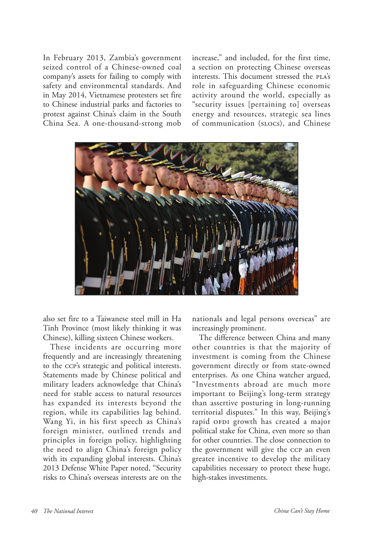In February 2013, Zambia's government seized control of a Chinese-owned coal company's assets for failing to comply with safety and environmental standards. And in May 2014, Vietnamese protesters set fire to Chinese industrial parks and factories to protest against China's claim in the South China Sea. A one-thousand-strong mob

increase," and included, for the first time, a section on protecting Chinese overseas interests. This document stressed the PLA's role in safeguarding Chinese economic activity around the world, especially as "security issues [pertaining to] overseas energy and resources, strategic sea lines of communication (slocs), and Chinese



also set fire to a Taiwanese steel mill in Ha Tinh Province (most likely thinking it was Chinese), killing sixteen Chinese workers.

These incidents are occurring more frequently and are increasingly threatening to the ccp's strategic and political interests. Statements made by Chinese political and military leaders acknowledge that China's need for stable access to natural resources has expanded its interests beyond the region, while its capabilities lag behind. Wang Yi, in his first speech as China's foreign minister, outlined trends and principles in foreign policy, highlighting the need to align China's foreign policy with its expanding global interests. China's 2013 Defense White Paper noted, "Security risks to China's overseas interests are on the

nationals and legal persons overseas" are increasingly prominent.

The difference between China and many other countries is that the majority of investment is coming from the Chinese government directly or from state-owned enterprises. As one China watcher argued, "Investments abroad are much more important to Beijing's long-term strategy than assertive posturing in long-running territorial disputes." In this way, Beijing's rapid OFDI growth has created a major political stake for China, even more so than for other countries. The close connection to the government will give the ccp an even greater incentive to develop the military capabilities necessary to protect these huge, high-stakes investments.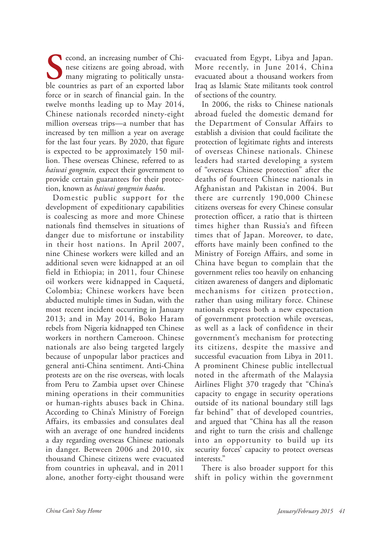**S**econd, an increasing number of Chinese citizens are going abroad, with many migrating to politically unstable countries as part of an exported labor nese citizens are going abroad, with many migrating to politically unstable countries as part of an exported labor force or in search of financial gain. In the twelve months leading up to May 2014, Chinese nationals recorded ninety-eight million overseas trips—a number that has increased by ten million a year on average for the last four years. By 2020, that figure is expected to be approximately 150 million. These overseas Chinese, referred to as *haiwai gongmin,* expect their government to provide certain guarantees for their protection, known as *haiwai gongmin baohu*.

Domestic public support for the development of expeditionary capabilities is coalescing as more and more Chinese nationals find themselves in situations of danger due to misfortune or instability in their host nations. In April 2007, nine Chinese workers were killed and an additional seven were kidnapped at an oil field in Ethiopia; in 2011, four Chinese oil workers were kidnapped in Caquetá, Colombia; Chinese workers have been abducted multiple times in Sudan, with the most recent incident occurring in January 2013; and in May 2014, Boko Haram rebels from Nigeria kidnapped ten Chinese workers in northern Cameroon. Chinese nationals are also being targeted largely because of unpopular labor practices and general anti-China sentiment. Anti-China protests are on the rise overseas, with locals from Peru to Zambia upset over Chinese mining operations in their communities or human-rights abuses back in China. According to China's Ministry of Foreign Affairs, its embassies and consulates deal with an average of one hundred incidents a day regarding overseas Chinese nationals in danger. Between 2006 and 2010, six thousand Chinese citizens were evacuated from countries in upheaval, and in 2011 alone, another forty-eight thousand were

evacuated from Egypt, Libya and Japan. More recently, in June 2014, China evacuated about a thousand workers from Iraq as Islamic State militants took control of sections of the country.

In 2006, the risks to Chinese nationals abroad fueled the domestic demand for the Department of Consular Affairs to establish a division that could facilitate the protection of legitimate rights and interests of overseas Chinese nationals. Chinese leaders had started developing a system of "overseas Chinese protection" after the deaths of fourteen Chinese nationals in Afghanistan and Pakistan in 2004. But there are currently 190,000 Chinese citizens overseas for every Chinese consular protection officer, a ratio that is thirteen times higher than Russia's and fifteen times that of Japan. Moreover, to date, efforts have mainly been confined to the Ministry of Foreign Affairs, and some in China have begun to complain that the government relies too heavily on enhancing citizen awareness of dangers and diplomatic mechanisms for citizen protection, rather than using military force. Chinese nationals express both a new expectation of government protection while overseas, as well as a lack of confidence in their government's mechanism for protecting its citizens, despite the massive and successful evacuation from Libya in 2011. A prominent Chinese public intellectual noted in the aftermath of the Malaysia Airlines Flight 370 tragedy that "China's capacity to engage in security operations outside of its national boundary still lags far behind" that of developed countries, and argued that "China has all the reason and right to turn the crisis and challenge into an opportunity to build up its security forces' capacity to protect overseas interests."

There is also broader support for this shift in policy within the government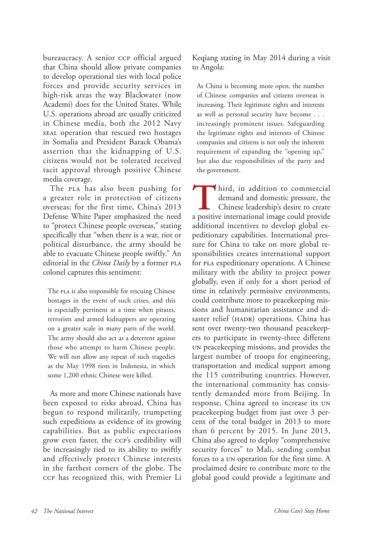bureaucracy. A senior ccp official argued that China should allow private companies to develop operational ties with local police forces and provide security services in high-risk areas the way Blackwater (now Academi) does for the United States. While U.S. operations abroad are usually criticized in Chinese media, both the 2012 Navy seal operation that rescued two hostages in Somalia and President Barack Obama's assertion that the kidnapping of U.S. citizens would not be tolerated received tacit approval through positive Chinese media coverage.

The PLA has also been pushing for a greater role in protection of citizens overseas; for the first time, China's 2013 Defense White Paper emphasized the need to "protect Chinese people overseas," stating specifically that "when there is a war, riot or political disturbance, the army should be able to evacuate Chinese people swiftly." An editorial in the *China Daily* by a former PLA colonel captures this sentiment:

The PLA is also responsible for rescuing Chinese hostages in the event of such crises, and this is especially pertinent at a time when pirates, terrorists and armed kidnappers are operating on a greater scale in many parts of the world. The army should also act as a deterrent against those who attempt to harm Chinese people. We will not allow any repeat of such tragedies as the May 1998 riots in Indonesia, in which some 1,200 ethnic Chinese were killed.

As more and more Chinese nationals have been exposed to risks abroad, China has begun to respond militarily, trumpeting such expeditions as evidence of its growing capabilities. But as public expectations grow even faster, the ccp's credibility will be increasingly tied to its ability to swiftly and effectively protect Chinese interests in the farthest corners of the globe. The ccp has recognized this, with Premier Li

Keqiang stating in May 2014 during a visit to Angola:

As China is becoming more open, the number of Chinese companies and citizens overseas is increasing. Their legitimate rights and interests as well as personal security have become . . . increasingly prominent issues. Safeguarding the legitimate rights and interests of Chinese companies and citizens is not only the inherent requirement of expanding the "opening up," but also due responsibilities of the party and the government.

Third, in addition to commercial<br>demand and domestic pressure, the<br>Chinese leadership's desire to create<br>a positive international image could provide demand and domestic pressure, the Chinese leadership's desire to create a positive international image could provide additional incentives to develop global expeditionary capabilities. International pressure for China to take on more global responsibilities creates international support for pla expeditionary operations. A Chinese military with the ability to project power globally, even if only for a short period of time in relatively permissive environments, could contribute more to peacekeeping missions and humanitarian assistance and disaster relief (HADR) operations. China has sent over twenty-two thousand peacekeepers to participate in twenty-three different un peacekeeping missions, and provides the largest number of troops for engineering, transportation and medical support among the 115 contributing countries. However, the international community has consistently demanded more from Beijing. In response, China agreed to increase its un peacekeeping budget from just over 3 percent of the total budget in 2013 to more than 6 percent by 2015. In June 2013, China also agreed to deploy "comprehensive security forces" to Mali, sending combat forces to a un operation for the first time. A proclaimed desire to contribute more to the global good could provide a legitimate and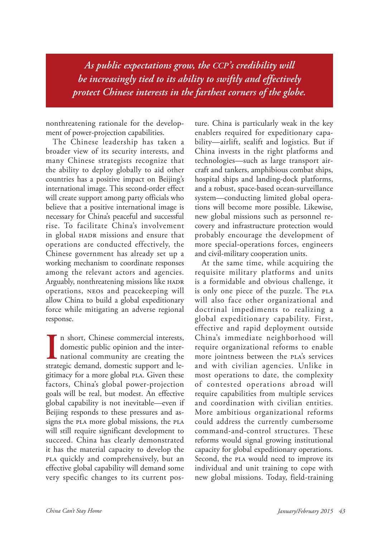*As public expectations grow, the ccp's credibility will be increasingly tied to its ability to swiftly and effectively protect Chinese interests in the farthest corners of the globe.*

nonthreatening rationale for the development of power-projection capabilities.

The Chinese leadership has taken a broader view of its security interests, and many Chinese strategists recognize that the ability to deploy globally to aid other countries has a positive impact on Beijing's international image. This second-order effect will create support among party officials who believe that a positive international image is necessary for China's peaceful and successful rise. To facilitate China's involvement in global HADR missions and ensure that operations are conducted effectively, the Chinese government has already set up a working mechanism to coordinate responses among the relevant actors and agencies. Arguably, nonthreatening missions like HADR operations, neos and peacekeeping will allow China to build a global expeditionary force while mitigating an adverse regional response.

In short, Chinese commercial interests, domestic public opinion and the international community are creating the strategic demand, domestic support and len short, Chinese commercial interests, domestic public opinion and the inter-**L** national community are creating the gitimacy for a more global PLA. Given these factors, China's global power-projection goals will be real, but modest. An effective global capability is not inevitable—even if Beijing responds to these pressures and assigns the PLA more global missions, the PLA will still require significant development to succeed. China has clearly demonstrated it has the material capacity to develop the pla quickly and comprehensively, but an effective global capability will demand some very specific changes to its current pos-

ture. China is particularly weak in the key enablers required for expeditionary capability—airlift, sealift and logistics. But if China invests in the right platforms and technologies—such as large transport aircraft and tankers, amphibious combat ships, hospital ships and landing-dock platforms, and a robust, space-based ocean-surveillance system—conducting limited global operations will become more possible. Likewise, new global missions such as personnel recovery and infrastructure protection would probably encourage the development of more special-operations forces, engineers and civil-military cooperation units.

At the same time, while acquiring the requisite military platforms and units is a formidable and obvious challenge, it is only one piece of the puzzle. The PLA will also face other organizational and doctrinal impediments to realizing a global expeditionary capability. First, effective and rapid deployment outside China's immediate neighborhood will require organizational reforms to enable more jointness between the pla's services and with civilian agencies. Unlike in most operations to date, the complexity of contested operations abroad will require capabilities from multiple services and coordination with civilian entities. More ambitious organizational reforms could address the currently cumbersome command-and-control structures. These reforms would signal growing institutional capacity for global expeditionary operations. Second, the *PLA* would need to improve its individual and unit training to cope with new global missions. Today, field-training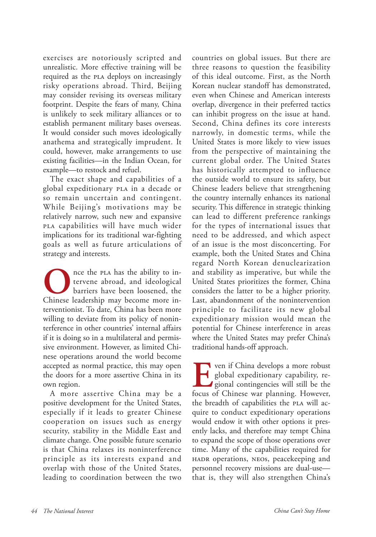exercises are notoriously scripted and unrealistic. More effective training will be required as the PLA deploys on increasingly risky operations abroad. Third, Beijing may consider revising its overseas military footprint. Despite the fears of many, China is unlikely to seek military alliances or to establish permanent military bases overseas. It would consider such moves ideologically anathema and strategically imprudent. It could, however, make arrangements to use existing facilities—in the Indian Ocean, for example—to restock and refuel.

The exact shape and capabilities of a global expeditionary pla in a decade or so remain uncertain and contingent. While Beijing's motivations may be relatively narrow, such new and expansive pla capabilities will have much wider implications for its traditional war-fighting goals as well as future articulations of strategy and interests.

The plan has the ability to intervene abroad, and ideological<br>barriers have been loosened, the<br>Chinese leadership may become more intervene abroad, and ideological barriers have been loosened, the Chinese leadership may become more interventionist. To date, China has been more willing to deviate from its policy of noninterference in other countries' internal affairs if it is doing so in a multilateral and permissive environment. However, as limited Chinese operations around the world become accepted as normal practice, this may open the doors for a more assertive China in its own region.

A more assertive China may be a positive development for the United States, especially if it leads to greater Chinese cooperation on issues such as energy security, stability in the Middle East and climate change. One possible future scenario is that China relaxes its noninterference principle as its interests expand and overlap with those of the United States, leading to coordination between the two

countries on global issues. But there are three reasons to question the feasibility of this ideal outcome. First, as the North Korean nuclear standoff has demonstrated, even when Chinese and American interests overlap, divergence in their preferred tactics can inhibit progress on the issue at hand. Second, China defines its core interests narrowly, in domestic terms, while the United States is more likely to view issues from the perspective of maintaining the current global order. The United States has historically attempted to influence the outside world to ensure its safety, but Chinese leaders believe that strengthening the country internally enhances its national security. This difference in strategic thinking can lead to different preference rankings for the types of international issues that need to be addressed, and which aspect of an issue is the most disconcerting. For example, both the United States and China regard North Korean denuclearization and stability as imperative, but while the United States prioritizes the former, China considers the latter to be a higher priority. Last, abandonment of the nonintervention principle to facilitate its new global expeditionary mission would mean the potential for Chinese interference in areas where the United States may prefer China's traditional hands-off approach.

**EVENTIFY 18 SET 2015 11:50 Ven if China develops a more robust<br>global expeditionary capability, regional contingencies will still be the<br>focus of Chinese war planning However.** global expeditionary capability, regional contingencies will still be the focus of Chinese war planning. However, the breadth of capabilities the PLA will acquire to conduct expeditionary operations would endow it with other options it presently lacks, and therefore may tempt China to expand the scope of those operations over time. Many of the capabilities required for hadr operations, neos, peacekeeping and personnel recovery missions are dual-use that is, they will also strengthen China's